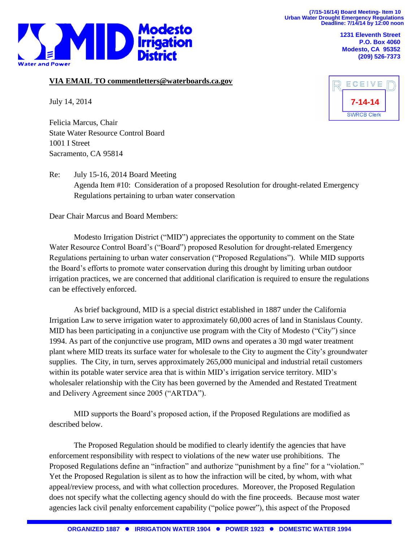**(7/15-16/14) Board Meeting- Item 10 Urban Water Drought Emergency Regulations Deadline: 7/14/14 by 12:00 noon**



**1231 Eleventh Street P.O. Box 4060 Modesto, CA 95352 (209) 526-7373**

## **VIA EMAIL TO commentletters@waterboards.ca.gov**

July 14, 2014

Felicia Marcus, Chair State Water Resource Control Board 1001 I Street Sacramento, CA 95814



Re: July 15-16, 2014 Board Meeting Agenda Item #10: Consideration of a proposed Resolution for drought-related Emergency Regulations pertaining to urban water conservation

Dear Chair Marcus and Board Members:

Modesto Irrigation District ("MID") appreciates the opportunity to comment on the State Water Resource Control Board's ("Board") proposed Resolution for drought-related Emergency Regulations pertaining to urban water conservation ("Proposed Regulations"). While MID supports the Board's efforts to promote water conservation during this drought by limiting urban outdoor irrigation practices, we are concerned that additional clarification is required to ensure the regulations can be effectively enforced.

As brief background, MID is a special district established in 1887 under the California Irrigation Law to serve irrigation water to approximately 60,000 acres of land in Stanislaus County. MID has been participating in a conjunctive use program with the City of Modesto ("City") since 1994. As part of the conjunctive use program, MID owns and operates a 30 mgd water treatment plant where MID treats its surface water for wholesale to the City to augment the City's groundwater supplies. The City, in turn, serves approximately 265,000 municipal and industrial retail customers within its potable water service area that is within MID's irrigation service territory. MID's wholesaler relationship with the City has been governed by the Amended and Restated Treatment and Delivery Agreement since 2005 ("ARTDA").

MID supports the Board's proposed action, if the Proposed Regulations are modified as described below.

The Proposed Regulation should be modified to clearly identify the agencies that have enforcement responsibility with respect to violations of the new water use prohibitions. The Proposed Regulations define an "infraction" and authorize "punishment by a fine" for a "violation." Yet the Proposed Regulation is silent as to how the infraction will be cited, by whom, with what appeal/review process, and with what collection procedures. Moreover, the Proposed Regulation does not specify what the collecting agency should do with the fine proceeds. Because most water agencies lack civil penalty enforcement capability ("police power"), this aspect of the Proposed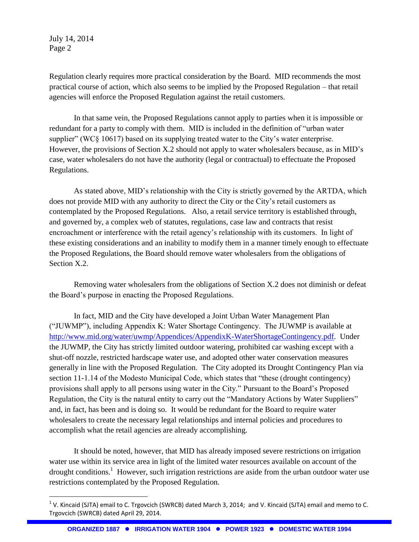July 14, 2014 Page 2

 $\overline{a}$ 

Regulation clearly requires more practical consideration by the Board. MID recommends the most practical course of action, which also seems to be implied by the Proposed Regulation – that retail agencies will enforce the Proposed Regulation against the retail customers.

In that same vein, the Proposed Regulations cannot apply to parties when it is impossible or redundant for a party to comply with them. MID is included in the definition of "urban water supplier" (WC§ 10617) based on its supplying treated water to the City's water enterprise. However, the provisions of Section X.2 should not apply to water wholesalers because, as in MID's case, water wholesalers do not have the authority (legal or contractual) to effectuate the Proposed Regulations.

As stated above, MID's relationship with the City is strictly governed by the ARTDA, which does not provide MID with any authority to direct the City or the City's retail customers as contemplated by the Proposed Regulations. Also, a retail service territory is established through, and governed by, a complex web of statutes, regulations, case law and contracts that resist encroachment or interference with the retail agency's relationship with its customers. In light of these existing considerations and an inability to modify them in a manner timely enough to effectuate the Proposed Regulations, the Board should remove water wholesalers from the obligations of Section X.2.

Removing water wholesalers from the obligations of Section X.2 does not diminish or defeat the Board's purpose in enacting the Proposed Regulations.

In fact, MID and the City have developed a Joint Urban Water Management Plan ("JUWMP"), including Appendix K: Water Shortage Contingency. The JUWMP is available at [http://www.mid.org/water/uwmp/Appendices/AppendixK-WaterShortageContingency.pdf.](http://www.mid.org/water/uwmp/Appendices/AppendixK-WaterShortageContingency.pdf) Under the JUWMP, the City has strictly limited outdoor watering, prohibited car washing except with a shut-off nozzle, restricted hardscape water use, and adopted other water conservation measures generally in line with the Proposed Regulation. The City adopted its Drought Contingency Plan via section 11-1.14 of the Modesto Municipal Code, which states that "these (drought contingency) provisions shall apply to all persons using water in the City." Pursuant to the Board's Proposed Regulation, the City is the natural entity to carry out the "Mandatory Actions by Water Suppliers" and, in fact, has been and is doing so. It would be redundant for the Board to require water wholesalers to create the necessary legal relationships and internal policies and procedures to accomplish what the retail agencies are already accomplishing.

It should be noted, however, that MID has already imposed severe restrictions on irrigation water use within its service area in light of the limited water resources available on account of the drought conditions.<sup>1</sup> However, such irrigation restrictions are aside from the urban outdoor water use restrictions contemplated by the Proposed Regulation.

<sup>&</sup>lt;sup>1</sup> V. Kincaid (SJTA) email to C. Trgovcich (SWRCB) dated March 3, 2014; and V. Kincaid (SJTA) email and memo to C. Trgovcich (SWRCB) dated April 29, 2014.